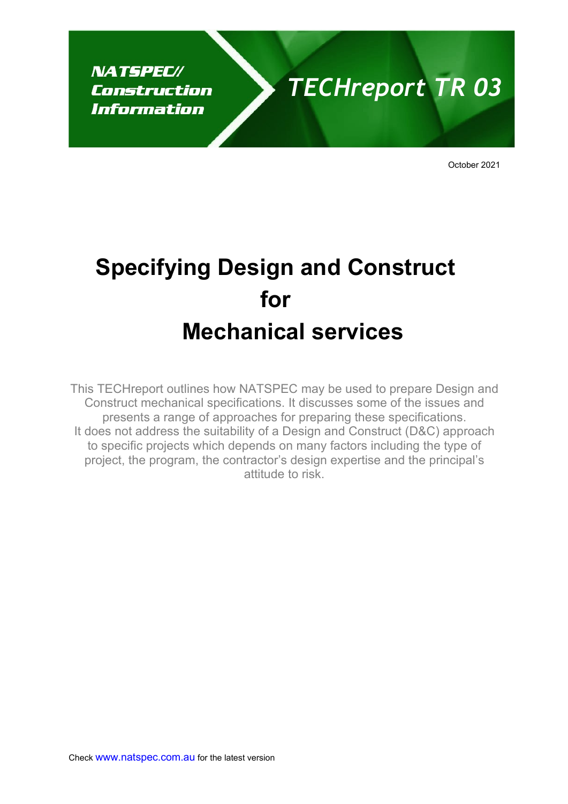**NATSPEC//** Construction Information

# *TECHreport TR 03*

October 2021

# **Specifying Design and Construct for Mechanical services**

This TECHreport outlines how NATSPEC may be used to prepare Design and Construct mechanical specifications. It discusses some of the issues and presents a range of approaches for preparing these specifications. It does not address the suitability of a Design and Construct (D&C) approach to specific projects which depends on many factors including the type of project, the program, the contractor's design expertise and the principal's attitude to risk.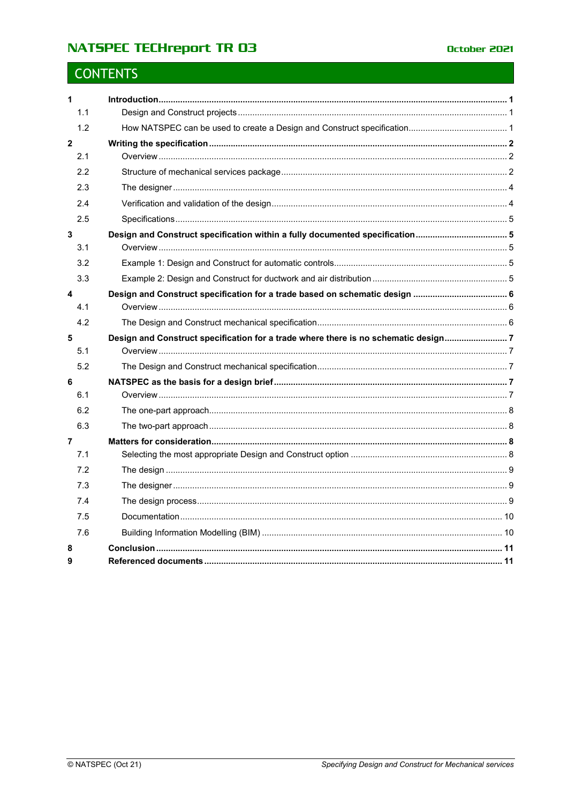# **NATSPEC TECHreport TR 03**

# **CONTENTS**

| $\mathbf{1}$            |                                                                                   |  |
|-------------------------|-----------------------------------------------------------------------------------|--|
| 1.1                     |                                                                                   |  |
| 1.2                     |                                                                                   |  |
| $\overline{\mathbf{2}}$ |                                                                                   |  |
| 2.1                     |                                                                                   |  |
| 2.2                     |                                                                                   |  |
| 2.3                     |                                                                                   |  |
| 2.4                     |                                                                                   |  |
| 2.5                     |                                                                                   |  |
| 3<br>3.1                |                                                                                   |  |
| 3.2                     |                                                                                   |  |
| 3.3                     |                                                                                   |  |
| 4                       |                                                                                   |  |
| 4.1                     |                                                                                   |  |
| 4.2                     |                                                                                   |  |
|                         |                                                                                   |  |
| 5<br>5.1                | Design and Construct specification for a trade where there is no schematic design |  |
| 5.2                     |                                                                                   |  |
| 6<br>6.1                |                                                                                   |  |
| 6.2                     |                                                                                   |  |
| 6.3                     |                                                                                   |  |
| 7                       |                                                                                   |  |
| 7.1                     |                                                                                   |  |
| 7.2                     |                                                                                   |  |
| 7.3                     |                                                                                   |  |
| 7.4                     |                                                                                   |  |
| 7.5                     |                                                                                   |  |
| 7.6                     |                                                                                   |  |
| 8                       |                                                                                   |  |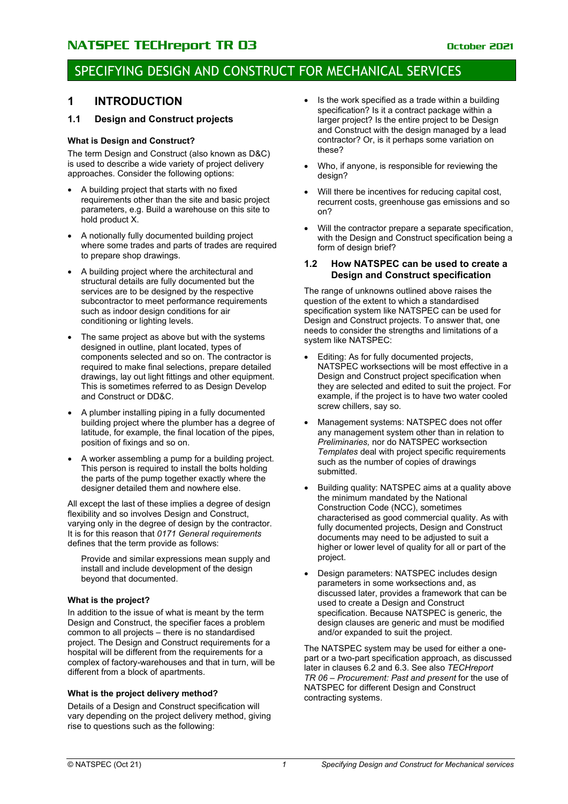### SPECIFYING DESIGN AND CONSTRUCT FOR MECHANICAL SERVICES

### <span id="page-2-0"></span>**1 INTRODUCTION**

### <span id="page-2-1"></span>**1.1 Design and Construct projects**

### **What is Design and Construct?**

The term Design and Construct (also known as D&C) is used to describe a wide variety of project delivery approaches. Consider the following options:

- A building project that starts with no fixed requirements other than the site and basic project parameters, e.g. Build a warehouse on this site to hold product X.
- A notionally fully documented building project where some trades and parts of trades are required to prepare shop drawings.
- A building project where the architectural and structural details are fully documented but the services are to be designed by the respective subcontractor to meet performance requirements such as indoor design conditions for air conditioning or lighting levels.
- The same project as above but with the systems designed in outline, plant located, types of components selected and so on. The contractor is required to make final selections, prepare detailed drawings, lay out light fittings and other equipment. This is sometimes referred to as Design Develop and Construct or DD&C.
- A plumber installing piping in a fully documented building project where the plumber has a degree of latitude, for example, the final location of the pipes, position of fixings and so on.
- A worker assembling a pump for a building project. This person is required to install the bolts holding the parts of the pump together exactly where the designer detailed them and nowhere else.

All except the last of these implies a degree of design flexibility and so involves Design and Construct, varying only in the degree of design by the contractor. It is for this reason that *0171 General requirements* defines that the term provide as follows:

Provide and similar expressions mean supply and install and include development of the design beyond that documented.

#### **What is the project?**

In addition to the issue of what is meant by the term Design and Construct, the specifier faces a problem common to all projects – there is no standardised project. The Design and Construct requirements for a hospital will be different from the requirements for a complex of factory-warehouses and that in turn, will be different from a block of apartments.

### **What is the project delivery method?**

Details of a Design and Construct specification will vary depending on the project delivery method, giving rise to questions such as the following:

- Is the work specified as a trade within a building specification? Is it a contract package within a larger project? Is the entire project to be Design and Construct with the design managed by a lead contractor? Or, is it perhaps some variation on these?
- Who, if anyone, is responsible for reviewing the design?
- Will there be incentives for reducing capital cost, recurrent costs, greenhouse gas emissions and so on?
- Will the contractor prepare a separate specification. with the Design and Construct specification being a form of design brief?

### <span id="page-2-2"></span>**1.2 How NATSPEC can be used to create a Design and Construct specification**

The range of unknowns outlined above raises the question of the extent to which a standardised specification system like NATSPEC can be used for Design and Construct projects. To answer that, one needs to consider the strengths and limitations of a system like NATSPEC:

- Editing: As for fully documented projects, NATSPEC worksections will be most effective in a Design and Construct project specification when they are selected and edited to suit the project. For example, if the project is to have two water cooled screw chillers, say so.
- Management systems: NATSPEC does not offer any management system other than in relation to *Preliminaries,* nor do NATSPEC worksection *Templates* deal with project specific requirements such as the number of copies of drawings submitted.
- Building quality: NATSPEC aims at a quality above the minimum mandated by the National Construction Code (NCC), sometimes characterised as good commercial quality. As with fully documented projects, Design and Construct documents may need to be adjusted to suit a higher or lower level of quality for all or part of the project.
- Design parameters: NATSPEC includes design parameters in some worksections and, as discussed later, provides a framework that can be used to create a Design and Construct specification. Because NATSPEC is generic, the design clauses are generic and must be modified and/or expanded to suit the project.

The NATSPEC system may be used for either a onepart or a two-part specification approach, as discussed later in clauses 6.2 and 6.3. See also *TECHreport TR 06 – Procurement: Past and present* for the use of NATSPEC for different Design and Construct contracting systems.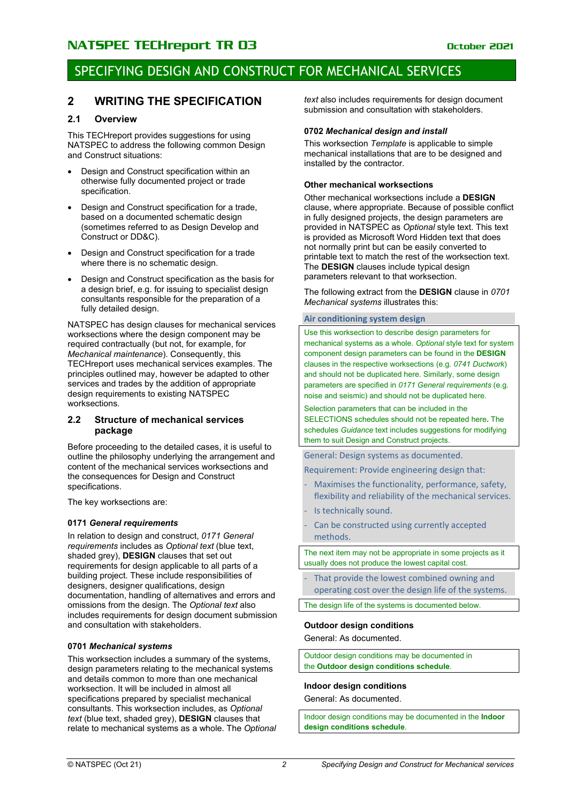### SPECIFYING DESIGN AND CONSTRUCT FOR MECHANICAL SERVICES

### <span id="page-3-0"></span>**2 WRITING THE SPECIFICATION**

### <span id="page-3-1"></span>**2.1 Overview**

This TECHreport provides suggestions for using NATSPEC to address the following common Design and Construct situations:

- Design and Construct specification within an otherwise fully documented project or trade specification.
- Design and Construct specification for a trade, based on a documented schematic design (sometimes referred to as Design Develop and Construct or DD&C).
- Design and Construct specification for a trade where there is no schematic design.
- Design and Construct specification as the basis for a design brief, e.g. for issuing to specialist design consultants responsible for the preparation of a fully detailed design.

NATSPEC has design clauses for mechanical services worksections where the design component may be required contractually (but not, for example, for *Mechanical maintenance*). Consequently, this TECHreport uses mechanical services examples. The principles outlined may, however be adapted to other services and trades by the addition of appropriate design requirements to existing NATSPEC worksections.

#### <span id="page-3-2"></span>**2.2 Structure of mechanical services package**

Before proceeding to the detailed cases, it is useful to outline the philosophy underlying the arrangement and content of the mechanical services worksections and the consequences for Design and Construct specifications.

The key worksections are:

#### **0171** *General requirements*

In relation to design and construct, *0171 General requirements* includes as *Optional text* (blue text, shaded grey), **DESIGN** clauses that set out requirements for design applicable to all parts of a building project. These include responsibilities of designers, designer qualifications, design documentation, handling of alternatives and errors and omissions from the design. The *Optional text* also includes requirements for design document submission and consultation with stakeholders.

#### **0701** *Mechanical systems*

This worksection includes a summary of the systems, design parameters relating to the mechanical systems and details common to more than one mechanical worksection. It will be included in almost all specifications prepared by specialist mechanical consultants. This worksection includes, as *Optional text* (blue text, shaded grey), **DESIGN** clauses that relate to mechanical systems as a whole. The *Optional* *text* also includes requirements for design document submission and consultation with stakeholders.

#### **0702** *Mechanical design and install*

This worksection *Template* is applicable to simple mechanical installations that are to be designed and installed by the contractor.

#### **Other mechanical worksections**

Other mechanical worksections include a **DESIGN** clause, where appropriate. Because of possible conflict in fully designed projects, the design parameters are provided in NATSPEC as *Optional* style text. This text is provided as Microsoft Word Hidden text that does not normally print but can be easily converted to printable text to match the rest of the worksection text. The **DESIGN** clauses include typical design parameters relevant to that worksection.

The following extract from the **DESIGN** clause in *0701 Mechanical systems* illustrates this:

#### **Air conditioning system design**

Use this worksection to describe design parameters for mechanical systems as a whole. *Optional* style text for system component design parameters can be found in the **DESIGN**  clauses in the respective worksections (e.g. *0741 Ductwork*) and should not be duplicated here. Similarly, some design parameters are specified in *0171 General requirements* (e.g. noise and seismic) and should not be duplicated here.

Selection parameters that can be included in the SELECTIONS schedules should not be repeated here**.** The schedules *Guidance* text includes suggestions for modifying them to suit Design and Construct projects.

General: Design systems as documented.

Requirement: Provide engineering design that:

- Maximises the functionality, performance, safety, flexibility and reliability of the mechanical services.
- Is technically sound.
- Can be constructed using currently accepted methods.

The next item may not be appropriate in some projects as it usually does not produce the lowest capital cost.

That provide the lowest combined owning and operating cost over the design life of the systems.

The design life of the systems is documented below.

### **Outdoor design conditions**

General: As documented.

Outdoor design conditions may be documented in the **Outdoor design conditions schedule**.

### **Indoor design conditions**

General: As documented.

Indoor design conditions may be documented in the **Indoor design conditions schedule**.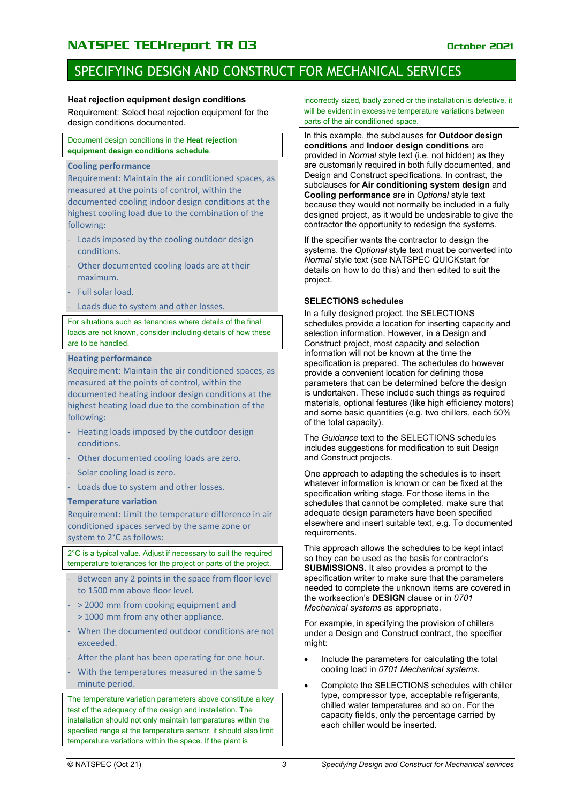### SPECIFYING DESIGN AND CONSTRUCT FOR MECHANICAL SERVICES

#### **Heat rejection equipment design conditions**

Requirement: Select heat rejection equipment for the design conditions documented.

Document design conditions in the **Heat rejection equipment design conditions schedule**.

### **Cooling performance**

Requirement: Maintain the air conditioned spaces, as measured at the points of control, within the documented cooling indoor design conditions at the highest cooling load due to the combination of the following:

- Loads imposed by the cooling outdoor design conditions.
- Other documented cooling loads are at their maximum.
- Full solar load.
- Loads due to system and other losses.

For situations such as tenancies where details of the final loads are not known, consider including details of how these are to be handled.

#### **Heating performance**

Requirement: Maintain the air conditioned spaces, as measured at the points of control, within the documented heating indoor design conditions at the highest heating load due to the combination of the following:

- Heating loads imposed by the outdoor design conditions.
- Other documented cooling loads are zero.
- Solar cooling load is zero.
- Loads due to system and other losses.

#### **Temperature variation**

Requirement: Limit the temperature difference in air conditioned spaces served by the same zone or system to 2°C as follows:

2°C is a typical value. Adjust if necessary to suit the required temperature tolerances for the project or parts of the project.

- Between any 2 points in the space from floor level to 1500 mm above floor level.
- > 2000 mm from cooking equipment and > 1000 mm from any other appliance.
- When the documented outdoor conditions are not exceeded.
- After the plant has been operating for one hour.
- With the temperatures measured in the same 5 minute period.

The temperature variation parameters above constitute a key test of the adequacy of the design and installation. The installation should not only maintain temperatures within the specified range at the temperature sensor, it should also limit temperature variations within the space. If the plant is

incorrectly sized, badly zoned or the installation is defective, it will be evident in excessive temperature variations between parts of the air conditioned space.

In this example, the subclauses for **Outdoor design conditions** and **Indoor design conditions** are provided in *Normal* style text (i.e. not hidden) as they are customarily required in both fully documented, and Design and Construct specifications. In contrast, the subclauses for **Air conditioning system design** and **Cooling performance** are in *Optional* style text because they would not normally be included in a fully designed project, as it would be undesirable to give the contractor the opportunity to redesign the systems.

If the specifier wants the contractor to design the systems, the *Optional* style text must be converted into *Normal* style text (see NATSPEC QUICKstart for details on how to do this) and then edited to suit the project.

#### **SELECTIONS schedules**

In a fully designed project, the SELECTIONS schedules provide a location for inserting capacity and selection information. However, in a Design and Construct project, most capacity and selection information will not be known at the time the specification is prepared. The schedules do however provide a convenient location for defining those parameters that can be determined before the design is undertaken. These include such things as required materials, optional features (like high efficiency motors) and some basic quantities (e.g. two chillers, each 50% of the total capacity).

The *Guidance* text to the SELECTIONS schedules includes suggestions for modification to suit Design and Construct projects.

One approach to adapting the schedules is to insert whatever information is known or can be fixed at the specification writing stage. For those items in the schedules that cannot be completed, make sure that adequate design parameters have been specified elsewhere and insert suitable text, e.g. To documented requirements.

This approach allows the schedules to be kept intact so they can be used as the basis for contractor's **SUBMISSIONS.** It also provides a prompt to the specification writer to make sure that the parameters needed to complete the unknown items are covered in the worksection's **DESIGN** clause or in *0701 Mechanical systems* as appropriate.

For example, in specifying the provision of chillers under a Design and Construct contract, the specifier might:

- Include the parameters for calculating the total cooling load in *0701 Mechanical systems*.
- Complete the SELECTIONS schedules with chiller type, compressor type, acceptable refrigerants, chilled water temperatures and so on. For the capacity fields, only the percentage carried by each chiller would be inserted.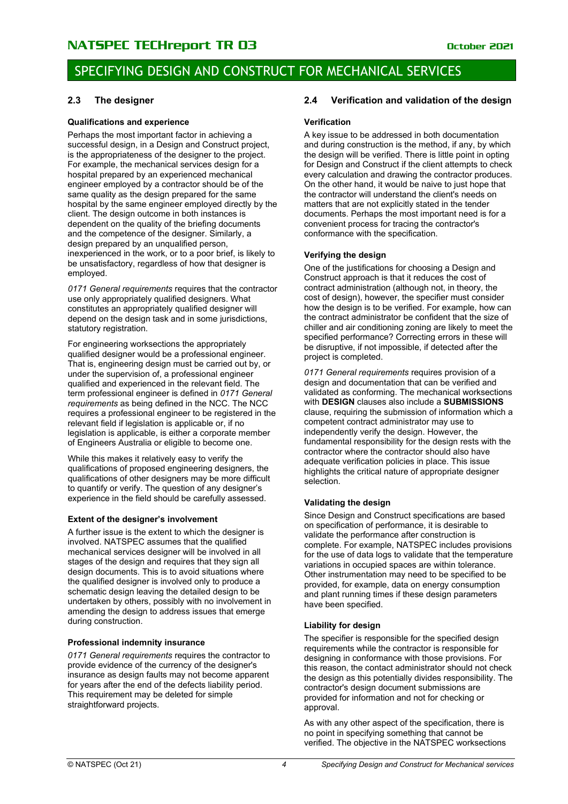### SPECIFYING DESIGN AND CONSTRUCT FOR MECHANICAL SERVICES

### <span id="page-5-0"></span>**2.3 The designer**

### **Qualifications and experience**

Perhaps the most important factor in achieving a successful design, in a Design and Construct project. is the appropriateness of the designer to the project. For example, the mechanical services design for a hospital prepared by an experienced mechanical engineer employed by a contractor should be of the same quality as the design prepared for the same hospital by the same engineer employed directly by the client. The design outcome in both instances is dependent on the quality of the briefing documents and the competence of the designer. Similarly, a design prepared by an unqualified person, inexperienced in the work, or to a poor brief, is likely to be unsatisfactory, regardless of how that designer is employed.

*0171 General requirements* requires that the contractor use only appropriately qualified designers. What constitutes an appropriately qualified designer will depend on the design task and in some jurisdictions, statutory registration.

For engineering worksections the appropriately qualified designer would be a professional engineer. That is, engineering design must be carried out by, or under the supervision of, a professional engineer qualified and experienced in the relevant field. The term professional engineer is defined in *0171 General requirements* as being defined in the NCC. The NCC requires a professional engineer to be registered in the relevant field if legislation is applicable or, if no legislation is applicable, is either a corporate member of Engineers Australia or eligible to become one.

While this makes it relatively easy to verify the qualifications of proposed engineering designers, the qualifications of other designers may be more difficult to quantify or verify. The question of any designer's experience in the field should be carefully assessed.

### **Extent of the designer's involvement**

A further issue is the extent to which the designer is involved. NATSPEC assumes that the qualified mechanical services designer will be involved in all stages of the design and requires that they sign all design documents. This is to avoid situations where the qualified designer is involved only to produce a schematic design leaving the detailed design to be undertaken by others, possibly with no involvement in amending the design to address issues that emerge during construction.

### **Professional indemnity insurance**

*0171 General requirements* requires the contractor to provide evidence of the currency of the designer's insurance as design faults may not become apparent for years after the end of the defects liability period. This requirement may be deleted for simple straightforward projects.

### <span id="page-5-1"></span>**2.4 Verification and validation of the design**

### **Verification**

A key issue to be addressed in both documentation and during construction is the method, if any, by which the design will be verified. There is little point in opting for Design and Construct if the client attempts to check every calculation and drawing the contractor produces. On the other hand, it would be naive to just hope that the contractor will understand the client's needs on matters that are not explicitly stated in the tender documents. Perhaps the most important need is for a convenient process for tracing the contractor's conformance with the specification.

### **Verifying the design**

One of the justifications for choosing a Design and Construct approach is that it reduces the cost of contract administration (although not, in theory, the cost of design), however, the specifier must consider how the design is to be verified. For example, how can the contract administrator be confident that the size of chiller and air conditioning zoning are likely to meet the specified performance? Correcting errors in these will be disruptive, if not impossible, if detected after the project is completed.

*0171 General requirements* requires provision of a design and documentation that can be verified and validated as conforming. The mechanical worksections with **DESIGN** clauses also include a **SUBMISSIONS** clause, requiring the submission of information which a competent contract administrator may use to independently verify the design. However, the fundamental responsibility for the design rests with the contractor where the contractor should also have adequate verification policies in place. This issue highlights the critical nature of appropriate designer selection.

### **Validating the design**

Since Design and Construct specifications are based on specification of performance, it is desirable to validate the performance after construction is complete. For example, NATSPEC includes provisions for the use of data logs to validate that the temperature variations in occupied spaces are within tolerance. Other instrumentation may need to be specified to be provided, for example, data on energy consumption and plant running times if these design parameters have been specified.

### **Liability for design**

The specifier is responsible for the specified design requirements while the contractor is responsible for designing in conformance with those provisions. For this reason, the contact administrator should not check the design as this potentially divides responsibility. The contractor's design document submissions are provided for information and not for checking or approval.

As with any other aspect of the specification, there is no point in specifying something that cannot be verified. The objective in the NATSPEC worksections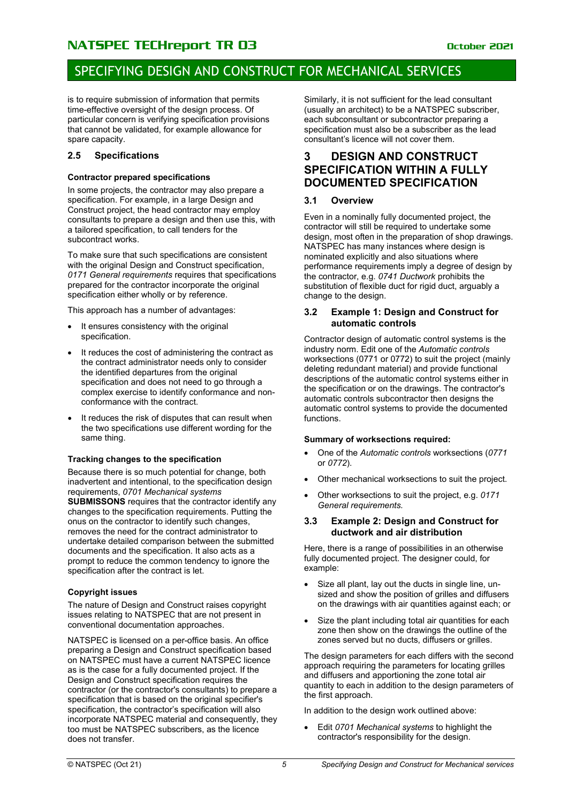## SPECIFYING DESIGN AND CONSTRUCT FOR MECHANICAL SERVICES

is to require submission of information that permits time-effective oversight of the design process. Of particular concern is verifying specification provisions that cannot be validated, for example allowance for spare capacity.

### <span id="page-6-0"></span>**2.5 Specifications**

### **Contractor prepared specifications**

In some projects, the contractor may also prepare a specification. For example, in a large Design and Construct project, the head contractor may employ consultants to prepare a design and then use this, with a tailored specification, to call tenders for the subcontract works.

To make sure that such specifications are consistent with the original Design and Construct specification, *0171 General requirements* requires that specifications prepared for the contractor incorporate the original specification either wholly or by reference.

This approach has a number of advantages:

- It ensures consistency with the original specification.
- It reduces the cost of administering the contract as the contract administrator needs only to consider the identified departures from the original specification and does not need to go through a complex exercise to identify conformance and nonconformance with the contract.
- It reduces the risk of disputes that can result when the two specifications use different wording for the same thing.

### **Tracking changes to the specification**

Because there is so much potential for change, both inadvertent and intentional, to the specification design requirements, *0701 Mechanical systems*  **SUBMISSONS** requires that the contractor identify any changes to the specification requirements. Putting the onus on the contractor to identify such changes, removes the need for the contract administrator to undertake detailed comparison between the submitted documents and the specification. It also acts as a prompt to reduce the common tendency to ignore the specification after the contract is let.

### **Copyright issues**

The nature of Design and Construct raises copyright issues relating to NATSPEC that are not present in conventional documentation approaches.

NATSPEC is licensed on a per-office basis. An office preparing a Design and Construct specification based on NATSPEC must have a current NATSPEC licence as is the case for a fully documented project. If the Design and Construct specification requires the contractor (or the contractor's consultants) to prepare a specification that is based on the original specifier's specification, the contractor's specification will also incorporate NATSPEC material and consequently, they too must be NATSPEC subscribers, as the licence does not transfer.

Similarly, it is not sufficient for the lead consultant (usually an architect) to be a NATSPEC subscriber, each subconsultant or subcontractor preparing a specification must also be a subscriber as the lead consultant's licence will not cover them.

### <span id="page-6-1"></span>**3 DESIGN AND CONSTRUCT SPECIFICATION WITHIN A FULLY DOCUMENTED SPECIFICATION**

### <span id="page-6-2"></span>**3.1 Overview**

Even in a nominally fully documented project, the contractor will still be required to undertake some design, most often in the preparation of shop drawings. NATSPEC has many instances where design is nominated explicitly and also situations where performance requirements imply a degree of design by the contractor, e.g. *0741 Ductwork* prohibits the substitution of flexible duct for rigid duct, arguably a change to the design.

### <span id="page-6-3"></span>**3.2 Example 1: Design and Construct for automatic controls**

Contractor design of automatic control systems is the industry norm. Edit one of the *Automatic controls* worksections (0771 or 0772) to suit the project (mainly deleting redundant material) and provide functional descriptions of the automatic control systems either in the specification or on the drawings. The contractor's automatic controls subcontractor then designs the automatic control systems to provide the documented functions.

### **Summary of worksections required:**

- One of the *Automatic controls* worksections (*0771*  or *0772*).
- Other mechanical worksections to suit the project.
- Other worksections to suit the project, e.g. *0171 General requirements.*

### <span id="page-6-4"></span>**3.3 Example 2: Design and Construct for ductwork and air distribution**

Here, there is a range of possibilities in an otherwise fully documented project. The designer could, for example:

- Size all plant, lay out the ducts in single line, unsized and show the position of grilles and diffusers on the drawings with air quantities against each; or
- Size the plant including total air quantities for each zone then show on the drawings the outline of the zones served but no ducts, diffusers or grilles.

The design parameters for each differs with the second approach requiring the parameters for locating grilles and diffusers and apportioning the zone total air quantity to each in addition to the design parameters of the first approach.

In addition to the design work outlined above:

• Edit *0701 Mechanical systems* to highlight the contractor's responsibility for the design.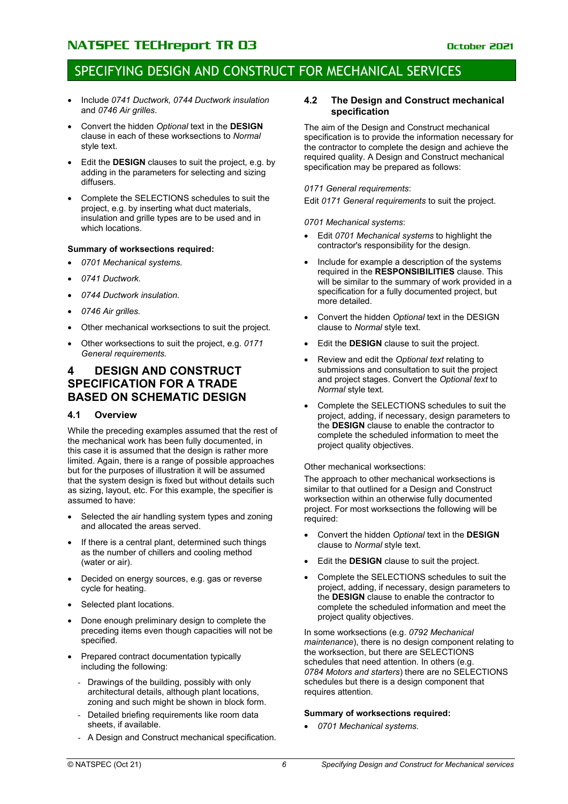### SPECIFYING DESIGN AND CONSTRUCT FOR MECHANICAL SERVICES

- Include *0741 Ductwork, 0744 Ductwork insulation* and *0746 Air grilles*.
- Convert the hidden *Optional* text in the **DESIGN** clause in each of these worksections to *Normal* style text.
- Edit the **DESIGN** clauses to suit the project, e.g. by adding in the parameters for selecting and sizing diffusers.
- Complete the SELECTIONS schedules to suit the project, e.g. by inserting what duct materials, insulation and grille types are to be used and in which locations.

### **Summary of worksections required:**

- *0701 Mechanical systems.*
- *0741 Ductwork.*
- *0744 Ductwork insulation.*
- *0746 Air grilles.*
- Other mechanical worksections to suit the project.
- Other worksections to suit the project, e.g. *0171 General requirements.*

### <span id="page-7-0"></span>**4 DESIGN AND CONSTRUCT SPECIFICATION FOR A TRADE BASED ON SCHEMATIC DESIGN**

### <span id="page-7-1"></span>**4.1 Overview**

While the preceding examples assumed that the rest of the mechanical work has been fully documented, in this case it is assumed that the design is rather more limited. Again, there is a range of possible approaches but for the purposes of illustration it will be assumed that the system design is fixed but without details such as sizing, layout, etc. For this example, the specifier is assumed to have:

- Selected the air handling system types and zoning and allocated the areas served.
- If there is a central plant, determined such things as the number of chillers and cooling method (water or air).
- Decided on energy sources, e.g. gas or reverse cycle for heating.
- Selected plant locations.
- Done enough preliminary design to complete the preceding items even though capacities will not be specified.
- Prepared contract documentation typically including the following:
	- Drawings of the building, possibly with only architectural details, although plant locations, zoning and such might be shown in block form.
	- Detailed briefing requirements like room data sheets, if available.
	- A Design and Construct mechanical specification.

#### <span id="page-7-2"></span>**4.2 The Design and Construct mechanical specification**

The aim of the Design and Construct mechanical specification is to provide the information necessary for the contractor to complete the design and achieve the required quality. A Design and Construct mechanical specification may be prepared as follows:

### *0171 General requirements*:

Edit *0171 General requirements* to suit the project.

*0701 Mechanical systems*:

- Edit *0701 Mechanical systems* to highlight the contractor's responsibility for the design.
- Include for example a description of the systems required in the **RESPONSIBILITIES** clause. This will be similar to the summary of work provided in a specification for a fully documented project, but more detailed.
- Convert the hidden *Optional* text in the DESIGN clause to *Normal* style text.
- Edit the **DESIGN** clause to suit the project.
- Review and edit the *Optional text* relating to submissions and consultation to suit the project and project stages. Convert the *Optional text* to *Normal* style text.
- Complete the SELECTIONS schedules to suit the project, adding, if necessary, design parameters to the **DESIGN** clause to enable the contractor to complete the scheduled information to meet the project quality objectives.

#### Other mechanical worksections:

The approach to other mechanical worksections is similar to that outlined for a Design and Construct worksection within an otherwise fully documented project. For most worksections the following will be required:

- Convert the hidden *Optional* text in the **DESIGN** clause to *Normal* style text.
- Edit the **DESIGN** clause to suit the project.
- Complete the SELECTIONS schedules to suit the project, adding, if necessary, design parameters to the **DESIGN** clause to enable the contractor to complete the scheduled information and meet the project quality objectives.

In some worksections (e.g. *0792 Mechanical maintenance*), there is no design component relating to the worksection, but there are SELECTIONS schedules that need attention. In others (e.g. *0784 Motors and starters*) there are no SELECTIONS schedules but there is a design component that requires attention.

### **Summary of worksections required:**

• *0701 Mechanical systems.*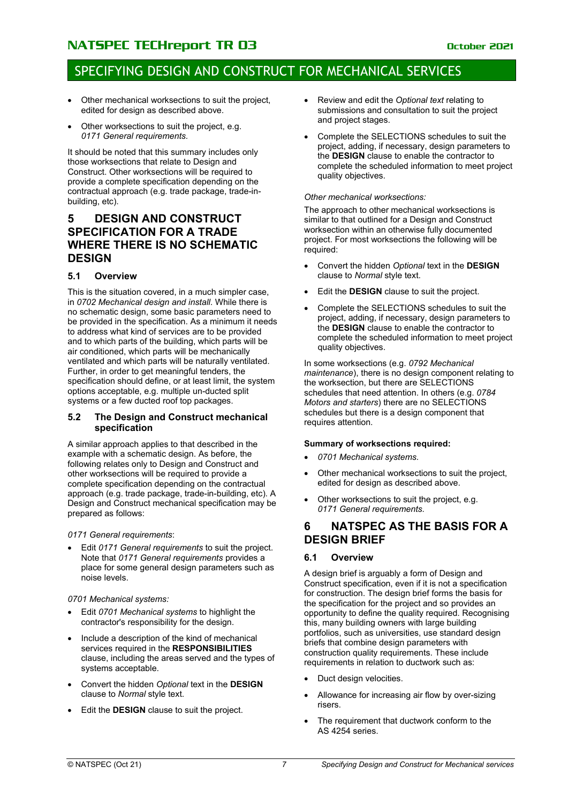### SPECIFYING DESIGN AND CONSTRUCT FOR MECHANICAL SERVICES

- Other mechanical worksections to suit the project, edited for design as described above.
- Other worksections to suit the project, e.g. *0171 General requirements.*

It should be noted that this summary includes only those worksections that relate to Design and Construct. Other worksections will be required to provide a complete specification depending on the contractual approach (e.g. trade package, trade-inbuilding, etc).

### <span id="page-8-0"></span>**5 DESIGN AND CONSTRUCT SPECIFICATION FOR A TRADE WHERE THERE IS NO SCHEMATIC DESIGN**

### <span id="page-8-1"></span>**5.1 Overview**

This is the situation covered, in a much simpler case, in *0702 Mechanical design and install*. While there is no schematic design, some basic parameters need to be provided in the specification. As a minimum it needs to address what kind of services are to be provided and to which parts of the building, which parts will be air conditioned, which parts will be mechanically ventilated and which parts will be naturally ventilated. Further, in order to get meaningful tenders, the specification should define, or at least limit, the system options acceptable, e.g. multiple un-ducted split systems or a few ducted roof top packages.

### <span id="page-8-2"></span>**5.2 The Design and Construct mechanical specification**

A similar approach applies to that described in the example with a schematic design. As before, the following relates only to Design and Construct and other worksections will be required to provide a complete specification depending on the contractual approach (e.g. trade package, trade-in-building, etc). A Design and Construct mechanical specification may be prepared as follows:

*0171 General requirements*:

• Edit *0171 General requirements* to suit the project. Note that *0171 General requirements* provides a place for some general design parameters such as noise levels.

*0701 Mechanical systems:*

- Edit *0701 Mechanical systems* to highlight the contractor's responsibility for the design.
- Include a description of the kind of mechanical services required in the **RESPONSIBILITIES** clause, including the areas served and the types of systems acceptable.
- Convert the hidden *Optional* text in the **DESIGN** clause to *Normal* style text.
- Edit the **DESIGN** clause to suit the project.
- Review and edit the *Optional text* relating to submissions and consultation to suit the project and project stages.
- Complete the SELECTIONS schedules to suit the project, adding, if necessary, design parameters to the **DESIGN** clause to enable the contractor to complete the scheduled information to meet project quality objectives.

#### *Other mechanical worksections:*

The approach to other mechanical worksections is similar to that outlined for a Design and Construct worksection within an otherwise fully documented project. For most worksections the following will be required:

- Convert the hidden *Optional* text in the **DESIGN** clause to *Normal* style text.
- Edit the **DESIGN** clause to suit the project.
- Complete the SELECTIONS schedules to suit the project, adding, if necessary, design parameters to the **DESIGN** clause to enable the contractor to complete the scheduled information to meet project quality objectives.

In some worksections (e.g. *0792 Mechanical maintenance*), there is no design component relating to the worksection, but there are SELECTIONS schedules that need attention. In others (e.g. *0784 Motors and starters*) there are no SELECTIONS schedules but there is a design component that requires attention.

### **Summary of worksections required:**

- *0701 Mechanical systems.*
- Other mechanical worksections to suit the project, edited for design as described above.
- Other worksections to suit the project, e.g. *0171 General requirements.*

### <span id="page-8-3"></span>**6 NATSPEC AS THE BASIS FOR A DESIGN BRIEF**

### <span id="page-8-4"></span>**6.1 Overview**

A design brief is arguably a form of Design and Construct specification, even if it is not a specification for construction. The design brief forms the basis for the specification for the project and so provides an opportunity to define the quality required. Recognising this, many building owners with large building portfolios, such as universities, use standard design briefs that combine design parameters with construction quality requirements. These include requirements in relation to ductwork such as:

- Duct design velocities.
- Allowance for increasing air flow by over-sizing risers.
- The requirement that ductwork conform to the AS 4254 series.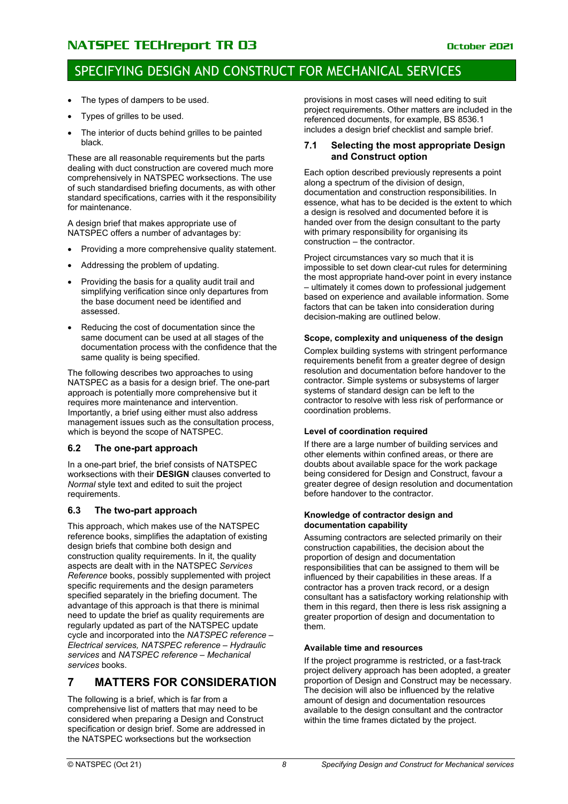### SPECIFYING DESIGN AND CONSTRUCT FOR MECHANICAL SERVICES

- The types of dampers to be used.
- Types of grilles to be used.
- The interior of ducts behind grilles to be painted black.

These are all reasonable requirements but the parts dealing with duct construction are covered much more comprehensively in NATSPEC worksections. The use of such standardised briefing documents, as with other standard specifications, carries with it the responsibility for maintenance.

A design brief that makes appropriate use of NATSPEC offers a number of advantages by:

- Providing a more comprehensive quality statement.
- Addressing the problem of updating.
- Providing the basis for a quality audit trail and simplifying verification since only departures from the base document need be identified and assessed.
- Reducing the cost of documentation since the same document can be used at all stages of the documentation process with the confidence that the same quality is being specified.

The following describes two approaches to using NATSPEC as a basis for a design brief. The one-part approach is potentially more comprehensive but it requires more maintenance and intervention. Importantly, a brief using either must also address management issues such as the consultation process, which is beyond the scope of NATSPEC.

### <span id="page-9-0"></span>**6.2 The one-part approach**

In a one-part brief, the brief consists of NATSPEC worksections with their **DESIGN** clauses converted to *Normal* style text and edited to suit the project requirements.

### <span id="page-9-1"></span>**6.3 The two-part approach**

This approach, which makes use of the NATSPEC reference books, simplifies the adaptation of existing design briefs that combine both design and construction quality requirements. In it, the quality aspects are dealt with in the NATSPEC *Services Reference* books, possibly supplemented with project specific requirements and the design parameters specified separately in the briefing document. The advantage of this approach is that there is minimal need to update the brief as quality requirements are regularly updated as part of the NATSPEC update cycle and incorporated into the *NATSPEC reference – Electrical services, NATSPEC reference – Hydraulic services* and *NATSPEC reference – Mechanical services* books.

### <span id="page-9-2"></span>**7 MATTERS FOR CONSIDERATION**

The following is a brief, which is far from a comprehensive list of matters that may need to be considered when preparing a Design and Construct specification or design brief. Some are addressed in the NATSPEC worksections but the worksection

provisions in most cases will need editing to suit project requirements. Other matters are included in the referenced documents, for example, BS 8536.1 includes a design brief checklist and sample brief.

### <span id="page-9-3"></span>**7.1 Selecting the most appropriate Design and Construct option**

Each option described previously represents a point along a spectrum of the division of design, documentation and construction responsibilities. In essence, what has to be decided is the extent to which a design is resolved and documented before it is handed over from the design consultant to the party with primary responsibility for organising its construction – the contractor.

Project circumstances vary so much that it is impossible to set down clear-cut rules for determining the most appropriate hand-over point in every instance – ultimately it comes down to professional judgement based on experience and available information. Some factors that can be taken into consideration during decision-making are outlined below.

### **Scope, complexity and uniqueness of the design**

Complex building systems with stringent performance requirements benefit from a greater degree of design resolution and documentation before handover to the contractor. Simple systems or subsystems of larger systems of standard design can be left to the contractor to resolve with less risk of performance or coordination problems.

### **Level of coordination required**

If there are a large number of building services and other elements within confined areas, or there are doubts about available space for the work package being considered for Design and Construct, favour a greater degree of design resolution and documentation before handover to the contractor.

#### **Knowledge of contractor design and documentation capability**

Assuming contractors are selected primarily on their construction capabilities, the decision about the proportion of design and documentation responsibilities that can be assigned to them will be influenced by their capabilities in these areas. If a contractor has a proven track record, or a design consultant has a satisfactory working relationship with them in this regard, then there is less risk assigning a greater proportion of design and documentation to them.

### **Available time and resources**

If the project programme is restricted, or a fast-track project delivery approach has been adopted, a greater proportion of Design and Construct may be necessary. The decision will also be influenced by the relative amount of design and documentation resources available to the design consultant and the contractor within the time frames dictated by the project.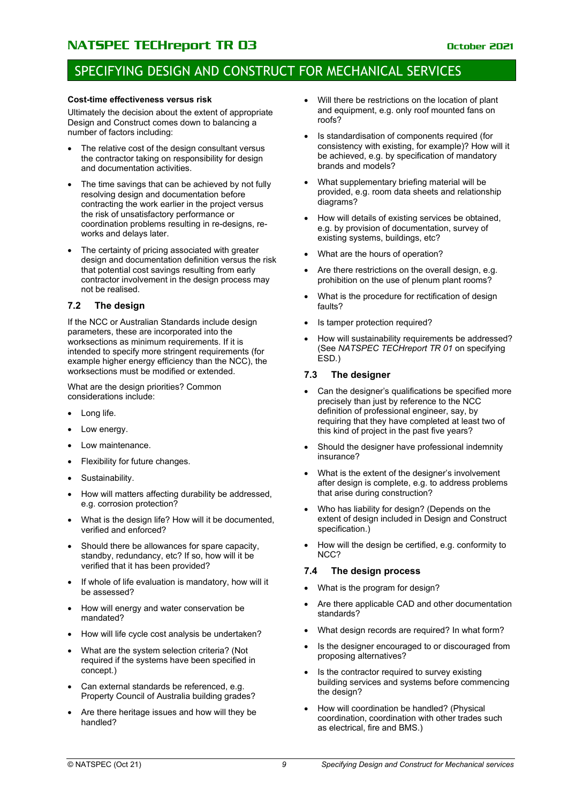### SPECIFYING DESIGN AND CONSTRUCT FOR MECHANICAL SERVICES

### **Cost-time effectiveness versus risk**

Ultimately the decision about the extent of appropriate Design and Construct comes down to balancing a number of factors including:

- The relative cost of the design consultant versus the contractor taking on responsibility for design and documentation activities.
- The time savings that can be achieved by not fully resolving design and documentation before contracting the work earlier in the project versus the risk of unsatisfactory performance or coordination problems resulting in re-designs, reworks and delays later.
- The certainty of pricing associated with greater design and documentation definition versus the risk that potential cost savings resulting from early contractor involvement in the design process may not be realised.

### <span id="page-10-0"></span>**7.2 The design**

If the NCC or Australian Standards include design parameters, these are incorporated into the worksections as minimum requirements. If it is intended to specify more stringent requirements (for example higher energy efficiency than the NCC), the worksections must be modified or extended.

What are the design priorities? Common considerations include:

- Long life.
- Low energy.
- Low maintenance.
- Flexibility for future changes.
- Sustainability.
- How will matters affecting durability be addressed, e.g. corrosion protection?
- What is the design life? How will it be documented, verified and enforced?
- Should there be allowances for spare capacity, standby, redundancy, etc? If so, how will it be verified that it has been provided?
- If whole of life evaluation is mandatory, how will it be assessed?
- How will energy and water conservation be mandated?
- How will life cycle cost analysis be undertaken?
- What are the system selection criteria? (Not required if the systems have been specified in concept.)
- Can external standards be referenced, e.g. Property Council of Australia building grades?
- Are there heritage issues and how will they be handled?
- Will there be restrictions on the location of plant and equipment, e.g. only roof mounted fans on roofs?
- Is standardisation of components required (for consistency with existing, for example)? How will it be achieved, e.g. by specification of mandatory brands and models?
- What supplementary briefing material will be provided, e.g. room data sheets and relationship diagrams?
- How will details of existing services be obtained, e.g. by provision of documentation, survey of existing systems, buildings, etc?
- What are the hours of operation?
- Are there restrictions on the overall design, e.g. prohibition on the use of plenum plant rooms?
- What is the procedure for rectification of design faults?
- Is tamper protection required?
- How will sustainability requirements be addressed? (See *NATSPEC TECHreport TR 01* on specifying ESD*.*)

### <span id="page-10-1"></span>**7.3 The designer**

- Can the designer's qualifications be specified more precisely than just by reference to the NCC definition of professional engineer, say, by requiring that they have completed at least two of this kind of project in the past five years?
- Should the designer have professional indemnity insurance?
- What is the extent of the designer's involvement after design is complete, e.g. to address problems that arise during construction?
- Who has liability for design? (Depends on the extent of design included in Design and Construct specification.)
- How will the design be certified, e.g. conformity to NCC?

### <span id="page-10-2"></span>**7.4 The design process**

- What is the program for design?
- Are there applicable CAD and other documentation standards?
- What design records are required? In what form?
- Is the designer encouraged to or discouraged from proposing alternatives?
- Is the contractor required to survey existing building services and systems before commencing the design?
- How will coordination be handled? (Physical coordination, coordination with other trades such as electrical, fire and BMS.)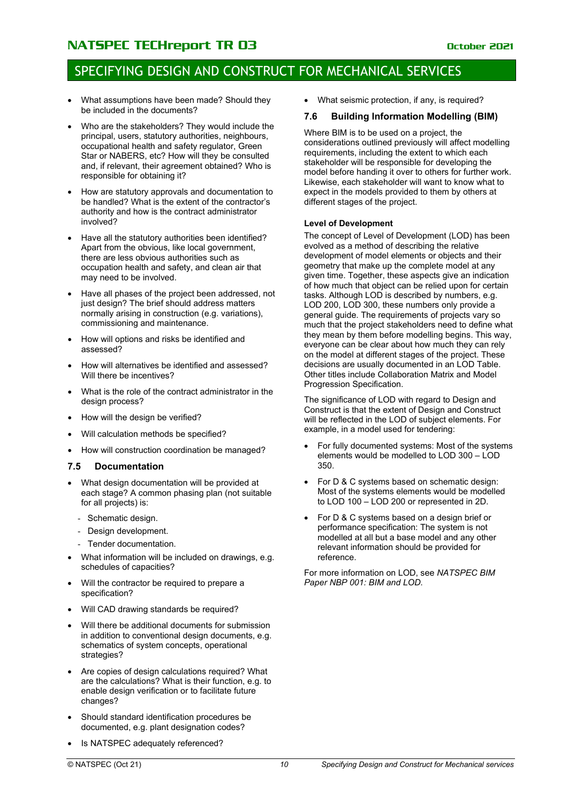### SPECIFYING DESIGN AND CONSTRUCT FOR MECHANICAL SERVICES

- What assumptions have been made? Should they be included in the documents?
- Who are the stakeholders? They would include the principal, users, statutory authorities, neighbours, occupational health and safety regulator, Green Star or NABERS, etc? How will they be consulted and, if relevant, their agreement obtained? Who is responsible for obtaining it?
- How are statutory approvals and documentation to be handled? What is the extent of the contractor's authority and how is the contract administrator involved?
- Have all the statutory authorities been identified? Apart from the obvious, like local government, there are less obvious authorities such as occupation health and safety, and clean air that may need to be involved.
- Have all phases of the project been addressed, not just design? The brief should address matters normally arising in construction (e.g. variations), commissioning and maintenance.
- How will options and risks be identified and assessed?
- How will alternatives be identified and assessed? Will there be incentives?
- What is the role of the contract administrator in the design process?
- How will the design be verified?
- Will calculation methods be specified?
- How will construction coordination be managed?

### <span id="page-11-0"></span>**7.5 Documentation**

- What design documentation will be provided at each stage? A common phasing plan (not suitable for all projects) is:
	- Schematic design.
	- Design development.
	- Tender documentation.
- What information will be included on drawings, e.g. schedules of capacities?
- Will the contractor be required to prepare a specification?
- Will CAD drawing standards be required?
- Will there be additional documents for submission in addition to conventional design documents, e.g. schematics of system concepts, operational strategies?
- Are copies of design calculations required? What are the calculations? What is their function, e.g. to enable design verification or to facilitate future changes?
- Should standard identification procedures be documented, e.g. plant designation codes?
- Is NATSPEC adequately referenced?

• What seismic protection, if any, is required?

### <span id="page-11-1"></span>**7.6 Building Information Modelling (BIM)**

Where BIM is to be used on a project, the considerations outlined previously will affect modelling requirements, including the extent to which each stakeholder will be responsible for developing the model before handing it over to others for further work. Likewise, each stakeholder will want to know what to expect in the models provided to them by others at different stages of the project.

#### **Level of Development**

The concept of Level of Development (LOD) has been evolved as a method of describing the relative development of model elements or objects and their geometry that make up the complete model at any given time. Together, these aspects give an indication of how much that object can be relied upon for certain tasks. Although LOD is described by numbers, e.g. LOD 200, LOD 300, these numbers only provide a general guide. The requirements of projects vary so much that the project stakeholders need to define what they mean by them before modelling begins. This way, everyone can be clear about how much they can rely on the model at different stages of the project. These decisions are usually documented in an LOD Table. Other titles include Collaboration Matrix and Model Progression Specification.

The significance of LOD with regard to Design and Construct is that the extent of Design and Construct will be reflected in the LOD of subject elements. For example, in a model used for tendering:

- For fully documented systems: Most of the systems elements would be modelled to LOD 300 – LOD 350.
- For D & C systems based on schematic design: Most of the systems elements would be modelled to LOD 100 – LOD 200 or represented in 2D.
- For D & C systems based on a design brief or performance specification: The system is not modelled at all but a base model and any other relevant information should be provided for reference.

For more information on LOD, see *NATSPEC BIM Paper NBP 001: BIM and LOD*.